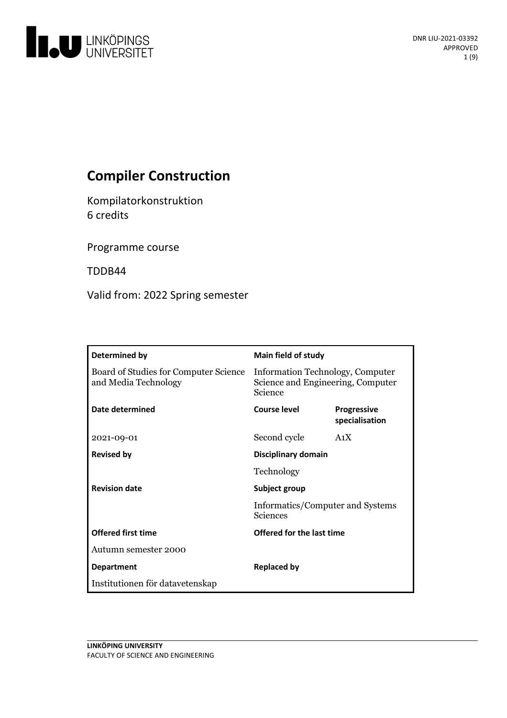

# **Compiler Construction**

Kompilatorkonstruktion 6 credits

Programme course

TDDB44

Valid from: 2022 Spring semester

| Determined by                                                 | <b>Main field of study</b>                                                       |                                      |
|---------------------------------------------------------------|----------------------------------------------------------------------------------|--------------------------------------|
| Board of Studies for Computer Science<br>and Media Technology | Information Technology, Computer<br>Science and Engineering, Computer<br>Science |                                      |
| Date determined                                               | Course level                                                                     | <b>Progressive</b><br>specialisation |
| 2021-09-01                                                    | Second cycle                                                                     | A <sub>1</sub> X                     |
| <b>Revised by</b>                                             | Disciplinary domain                                                              |                                      |
|                                                               | Technology                                                                       |                                      |
| <b>Revision date</b>                                          | Subject group<br>Informatics/Computer and Systems<br><b>Sciences</b>             |                                      |
|                                                               |                                                                                  |                                      |
| <b>Offered first time</b>                                     | Offered for the last time                                                        |                                      |
| Autumn semester 2000                                          |                                                                                  |                                      |
| <b>Department</b>                                             | <b>Replaced by</b>                                                               |                                      |
| Institutionen för datavetenskap                               |                                                                                  |                                      |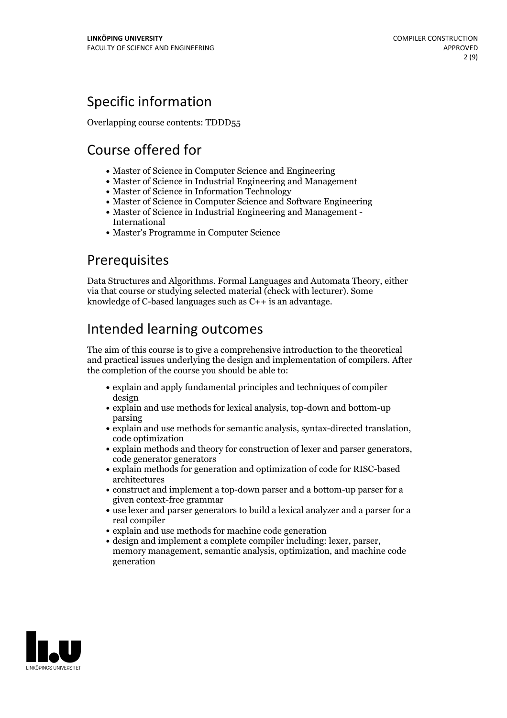## Specific information

Overlapping course contents: TDDD55

# Course offered for

- Master of Science in Computer Science and Engineering
- Master of Science in Industrial Engineering and Management
- Master of Science in Information Technology
- Master of Science in Computer Science and Software Engineering
- Master of Science in Industrial Engineering and Management International
- Master's Programme in Computer Science

## Prerequisites

Data Structures and Algorithms. Formal Languages and Automata Theory, either via that course or studying selected material (check with lecturer). Some knowledge of C-based languages such as  $C_{++}$  is an advantage.

## Intended learning outcomes

The aim of this course is to give a comprehensive introduction to the theoretical and practical issues underlying the design and implementation of compilers. After the completion of the course you should be able to:

- explain and apply fundamental principles and techniques of compiler design
- explain and use methods for lexical analysis, top-down and bottom-up parsing
- explain and use methods for semantic analysis, syntax-directed translation, code optimization
- explain methods and theory for construction of lexer and parser generators, code generator generators
- explain methods for generation and optimization of code for RISC-based architectures
- construct and implement a top-down parser and a bottom-up parser for a given context-free grammar
- use lexer and parser generators to build a lexical analyzer and a parser for a real compiler
- explain and use methods for machine code generation
- design and implement <sup>a</sup> complete compiler including: lexer, parser, memory management, semantic analysis, optimization, and machine code generation

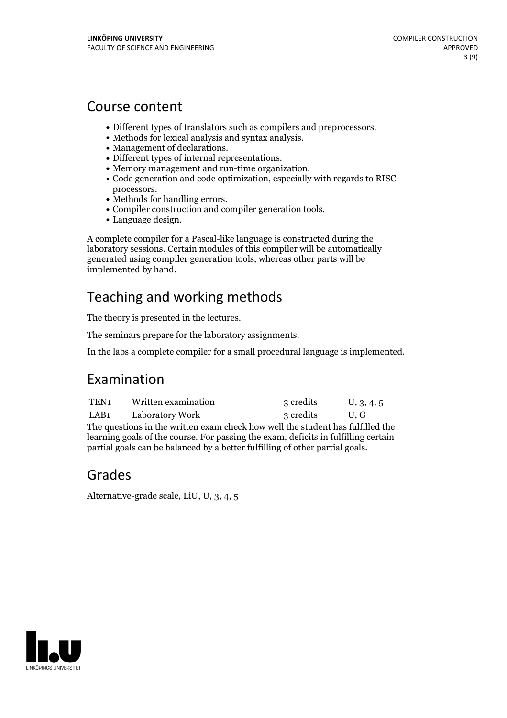## Course content

- Different types of translators such as compilers and preprocessors.<br>
Methods for lexical analysis and syntax analysis.<br>
Management of declarations.<br>
Different types of internal representations.<br>
Memory management
- 
- 
- 
- 
- 
- 
- processors.<br>• Methods for handling errors.<br>• Compiler construction and compiler generation tools.<br>• Language design.
- 

A complete compiler for a Pascal-like language is constructed during the laboratory sessions. Certain modules of this compiler will be automatically generated using compiler generation tools, whereas other parts will be implemented by hand.

## Teaching and working methods

The theory is presented in the lectures.

The seminars prepare for the laboratory assignments.

In the labs a complete compiler for a small procedural language is implemented.

## Examination

| TEN1                                                                           | Written examination | 3 credits | U, 3, 4, 5       |  |  |
|--------------------------------------------------------------------------------|---------------------|-----------|------------------|--|--|
| LAB1                                                                           | Laboratory Work     | 3 credits | $\mathbf{U}$ . G |  |  |
| The questions in the written exam check how well the student has fulfilled the |                     |           |                  |  |  |

learning goals of the course. For passing the exam, deficits in fulfilling certain partial goals can be balanced by a better fulfilling of other partial goals.

## Grades

Alternative-grade scale, LiU, U, 3, 4, 5

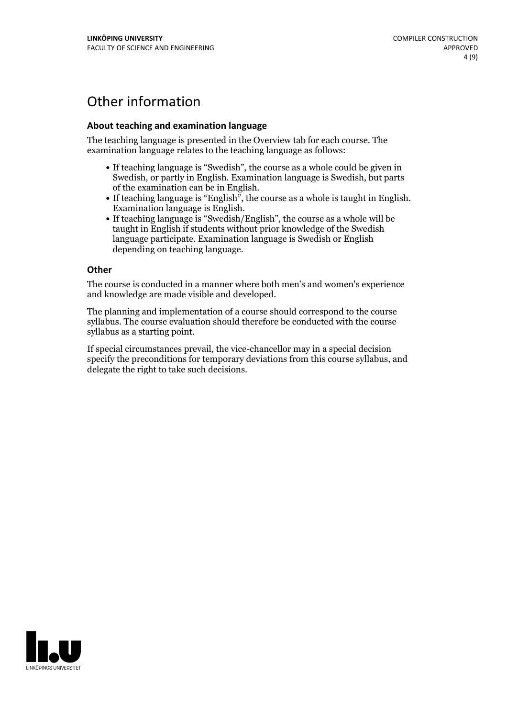## Other information

### **About teaching and examination language**

The teaching language is presented in the Overview tab for each course. The examination language relates to the teaching language as follows:

- If teaching language is "Swedish", the course as a whole could be given in Swedish, or partly in English. Examination language is Swedish, but parts
- of the examination can be in English. If teaching language is "English", the course as <sup>a</sup> whole is taught in English. Examination language is English. If teaching language is "Swedish/English", the course as <sup>a</sup> whole will be
- taught in English if students without prior knowledge of the Swedish language participate. Examination language is Swedish or English depending on teaching language.

#### **Other**

The course is conducted in a manner where both men's and women's experience and knowledge are made visible and developed.

The planning and implementation of a course should correspond to the course syllabus. The course evaluation should therefore be conducted with the course syllabus as a starting point.

If special circumstances prevail, the vice-chancellor may in a special decision specify the preconditions for temporary deviations from this course syllabus, and delegate the right to take such decisions.

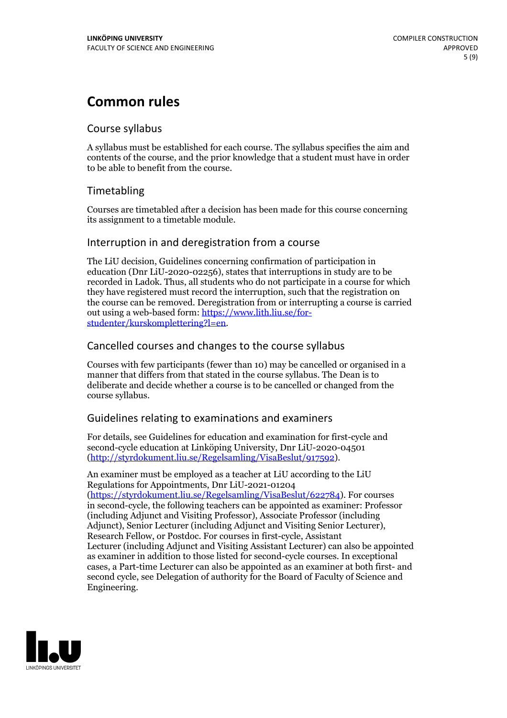## **Common rules**

### Course syllabus

A syllabus must be established for each course. The syllabus specifies the aim and contents of the course, and the prior knowledge that a student must have in order to be able to benefit from the course.

## Timetabling

Courses are timetabled after a decision has been made for this course concerning its assignment to a timetable module.

### Interruption in and deregistration from a course

The LiU decision, Guidelines concerning confirmation of participation in education (Dnr LiU-2020-02256), states that interruptions in study are to be recorded in Ladok. Thus, all students who do not participate in a course for which they have registered must record the interruption, such that the registration on the course can be removed. Deregistration from or interrupting a course is carried out using <sup>a</sup> web-based form: https://www.lith.liu.se/for- [studenter/kurskomplettering?l=en.](https://www.lith.liu.se/for-studenter/kurskomplettering?l=en)

## Cancelled courses and changes to the course syllabus

Courses with few participants (fewer than 10) may be cancelled or organised in a manner that differs from that stated in the course syllabus. The Dean is to deliberate and decide whether a course is to be cancelled or changed from the course syllabus.

## Guidelines relating to examinations and examiners

For details, see Guidelines for education and examination for first-cycle and second-cycle education at Linköping University, Dnr LiU-2020-04501 [\(http://styrdokument.liu.se/Regelsamling/VisaBeslut/917592\)](http://styrdokument.liu.se/Regelsamling/VisaBeslut/917592).

An examiner must be employed as a teacher at LiU according to the LiU Regulations for Appointments, Dnr LiU-2021-01204 [\(https://styrdokument.liu.se/Regelsamling/VisaBeslut/622784](https://styrdokument.liu.se/Regelsamling/VisaBeslut/622784)). For courses in second-cycle, the following teachers can be appointed as examiner: Professor (including Adjunct and Visiting Professor), Associate Professor (including Adjunct), Senior Lecturer (including Adjunct and Visiting Senior Lecturer), Research Fellow, or Postdoc. For courses in first-cycle, Assistant Lecturer (including Adjunct and Visiting Assistant Lecturer) can also be appointed as examiner in addition to those listed for second-cycle courses. In exceptional cases, a Part-time Lecturer can also be appointed as an examiner at both first- and second cycle, see Delegation of authority for the Board of Faculty of Science and Engineering.

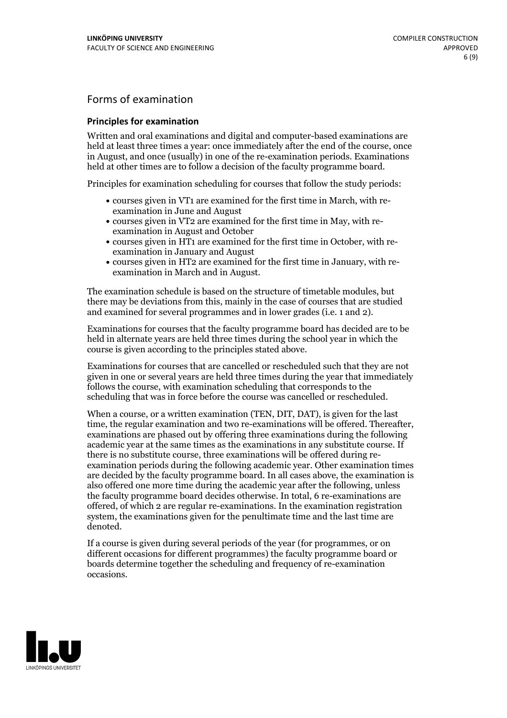## Forms of examination

#### **Principles for examination**

Written and oral examinations and digital and computer-based examinations are held at least three times a year: once immediately after the end of the course, once in August, and once (usually) in one of the re-examination periods. Examinations held at other times are to follow a decision of the faculty programme board.

Principles for examination scheduling for courses that follow the study periods:

- courses given in VT1 are examined for the first time in March, with re-examination in June and August
- courses given in VT2 are examined for the first time in May, with re-examination in August and October
- courses given in HT1 are examined for the first time in October, with re-examination in January and August
- courses given in HT2 are examined for the first time in January, with re-examination in March and in August.

The examination schedule is based on the structure of timetable modules, but there may be deviations from this, mainly in the case of courses that are studied and examined for several programmes and in lower grades (i.e. 1 and 2).

Examinations for courses that the faculty programme board has decided are to be held in alternate years are held three times during the school year in which the course is given according to the principles stated above.

Examinations for courses that are cancelled orrescheduled such that they are not given in one or several years are held three times during the year that immediately follows the course, with examination scheduling that corresponds to the scheduling that was in force before the course was cancelled or rescheduled.

When a course, or a written examination (TEN, DIT, DAT), is given for the last time, the regular examination and two re-examinations will be offered. Thereafter, examinations are phased out by offering three examinations during the following academic year at the same times as the examinations in any substitute course. If there is no substitute course, three examinations will be offered during re- examination periods during the following academic year. Other examination times are decided by the faculty programme board. In all cases above, the examination is also offered one more time during the academic year after the following, unless the faculty programme board decides otherwise. In total, 6 re-examinations are offered, of which 2 are regular re-examinations. In the examination registration system, the examinations given for the penultimate time and the last time are denoted.

If a course is given during several periods of the year (for programmes, or on different occasions for different programmes) the faculty programme board or boards determine together the scheduling and frequency of re-examination occasions.

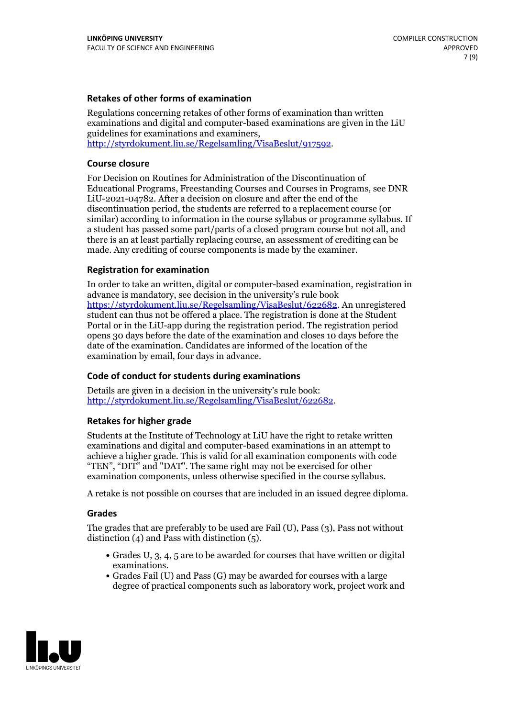### **Retakes of other forms of examination**

Regulations concerning retakes of other forms of examination than written examinations and digital and computer-based examinations are given in the LiU guidelines for examinations and examiners, [http://styrdokument.liu.se/Regelsamling/VisaBeslut/917592.](http://styrdokument.liu.se/Regelsamling/VisaBeslut/917592)

#### **Course closure**

For Decision on Routines for Administration of the Discontinuation of Educational Programs, Freestanding Courses and Courses in Programs, see DNR LiU-2021-04782. After a decision on closure and after the end of the discontinuation period, the students are referred to a replacement course (or similar) according to information in the course syllabus or programme syllabus. If a student has passed some part/parts of a closed program course but not all, and there is an at least partially replacing course, an assessment of crediting can be made. Any crediting of course components is made by the examiner.

### **Registration for examination**

In order to take an written, digital or computer-based examination, registration in advance is mandatory, see decision in the university's rule book [https://styrdokument.liu.se/Regelsamling/VisaBeslut/622682.](https://styrdokument.liu.se/Regelsamling/VisaBeslut/622682) An unregistered student can thus not be offered a place. The registration is done at the Student Portal or in the LiU-app during the registration period. The registration period opens 30 days before the date of the examination and closes 10 days before the date of the examination. Candidates are informed of the location of the examination by email, four days in advance.

### **Code of conduct for students during examinations**

Details are given in a decision in the university's rule book: <http://styrdokument.liu.se/Regelsamling/VisaBeslut/622682>.

#### **Retakes for higher grade**

Students at the Institute of Technology at LiU have the right to retake written examinations and digital and computer-based examinations in an attempt to achieve a higher grade. This is valid for all examination components with code "TEN", "DIT" and "DAT". The same right may not be exercised for other examination components, unless otherwise specified in the course syllabus.

A retake is not possible on courses that are included in an issued degree diploma.

#### **Grades**

The grades that are preferably to be used are Fail (U), Pass (3), Pass not without distinction  $(4)$  and Pass with distinction  $(5)$ .

- Grades U, 3, 4, 5 are to be awarded for courses that have written or digital examinations.<br>• Grades Fail (U) and Pass (G) may be awarded for courses with a large
- degree of practical components such as laboratory work, project work and

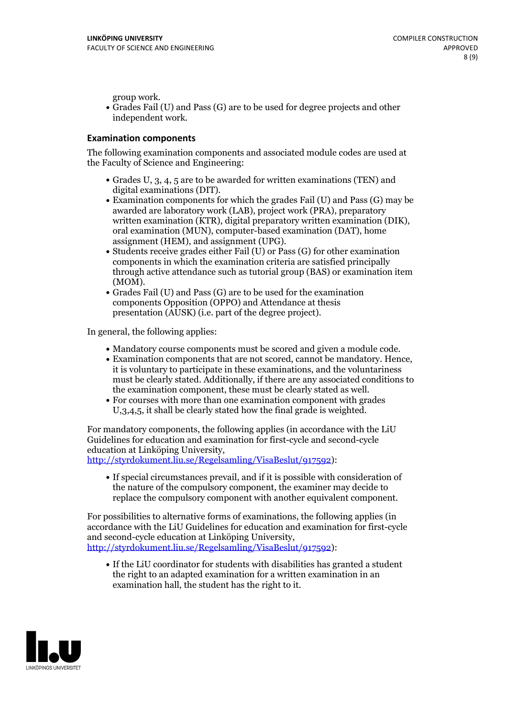group work.<br>• Grades Fail (U) and Pass (G) are to be used for degree projects and other independent work.

#### **Examination components**

The following examination components and associated module codes are used at the Faculty of Science and Engineering:

- Grades U, 3, 4, 5 are to be awarded for written examinations (TEN) and
- digital examinations (DIT).<br>• Examination components for which the grades Fail (U) and Pass (G) may be awarded are laboratory work (LAB), project work (PRA), preparatory written examination (KTR), digital preparatory written examination (DIK), oral examination (MUN), computer-based examination (DAT), home
- assignment (HEM), and assignment (UPG).<br>• Students receive grades either Fail (U) or Pass (G) for other examination components in which the examination criteria are satisfied principally through active attendance such as tutorial group (BAS) or examination item
- (MOM).<br>• Grades Fail (U) and Pass (G) are to be used for the examination components Opposition (OPPO) and Attendance at thesis presentation (AUSK) (i.e. part of the degree project).

In general, the following applies:

- 
- Mandatory course components must be scored and given <sup>a</sup> module code. Examination components that are not scored, cannot be mandatory. Hence, it is voluntary to participate in these examinations, and the voluntariness must be clearly stated. Additionally, if there are any associated conditions to
- the examination component, these must be clearly stated as well.<br>• For courses with more than one examination component with grades U,3,4,5, it shall be clearly stated how the final grade is weighted.

For mandatory components, the following applies (in accordance with the LiU Guidelines for education and examination for first-cycle and second-cycle education at Linköping University,<br>[http://styrdokument.liu.se/Regelsamling/VisaBeslut/917592\)](http://styrdokument.liu.se/Regelsamling/VisaBeslut/917592):

If special circumstances prevail, and if it is possible with consideration of the nature of the compulsory component, the examiner may decide to replace the compulsory component with another equivalent component.

For possibilities to alternative forms of examinations, the following applies (in accordance with the LiU Guidelines for education and examination for first-cycle [http://styrdokument.liu.se/Regelsamling/VisaBeslut/917592\)](http://styrdokument.liu.se/Regelsamling/VisaBeslut/917592):

If the LiU coordinator for students with disabilities has granted a student the right to an adapted examination for a written examination in an examination hall, the student has the right to it.